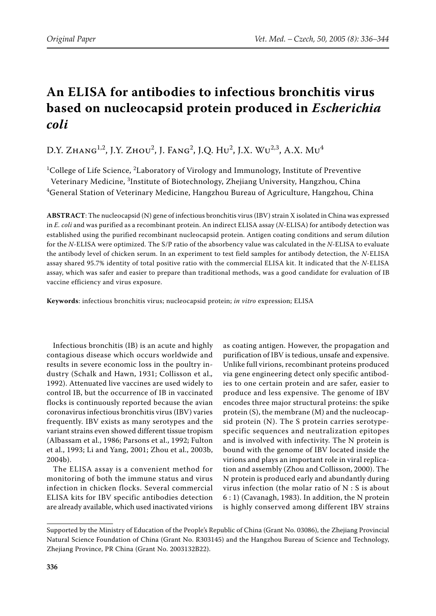# **An ELISA for antibodies to infectious bronchitis virus based on nucleocapsid protein produced in** *Escherichia coli*

D.Y. Zhang<sup>1,2</sup>, J.Y. Zhou<sup>2</sup>, J. Fang<sup>2</sup>, J.Q. Hu<sup>2</sup>, J.X. Wu<sup>2,3</sup>, A.X. Mu<sup>4</sup>

 $^{1}$ College of Life Science,  $^{2}$ Laboratory of Virology and Immunology, Institute of Preventive Veterinary Medicine, <sup>3</sup>Institute of Biotechnology, Zhejiang University, Hangzhou, China  ${\rm ^4}$ General Station of Veterinary Medicine, Hangzhou Bureau of Agriculture, Hangzhou, China

**ABSTRACT**: The nucleocapsid (N) gene of infectious bronchitis virus (IBV) strain X isolated in China was expressed in *E. coli* and was purified as a recombinant protein. An indirect ELISA assay (*N*-ELISA) for antibody detection was established using the purified recombinant nucleocapsid protein. Antigen coating conditions and serum dilution for the *N*-ELISA were optimized. The S/P ratio of the absorbency value was calculated in the *N*-ELISA to evaluate the antibody level of chicken serum. In an experiment to test field samples for antibody detection, the *N*-ELISA assay shared 95.7% identity of total positive ratio with the commercial ELISA kit. It indicated that the *N*-ELISA assay, which was safer and easier to prepare than traditional methods, was a good candidate for evaluation of IB vaccine efficiency and virus exposure.

**Keywords**: infectious bronchitis virus; nucleocapsid protein; *in vitro* expression; ELISA

Infectious bronchitis (IB) is an acute and highly contagious disease which occurs worldwide and results in severe economic loss in the poultry industry (Schalk and Hawn, 1931; Collisson et al.*,* 1992). Attenuated live vaccines are used widely to control IB, but the occurrence of IB in vaccinated flocks is continuously reported because the avian coronavirus infectious bronchitis virus (IBV) varies frequently. IBV exists as many serotypes and the variant strains even showed different tissue tropism (Albassam et al., 1986; Parsons et al., 1992; Fulton et al., 1993; Li and Yang, 2001; Zhou et al., 2003b, 2004b).

The ELISA assay is a convenient method for monitoring of both the immune status and virus infection in chicken flocks. Several commercial ELISA kits for IBV specific antibodies detection are already available, which used inactivated virions as coating antigen. However, the propagation and purification of IBV is tedious, unsafe and expensive. Unlike full virions, recombinant proteins produced via gene engineering detect only specific antibodies to one certain protein and are safer, easier to produce and less expensive. The genome of IBV encodes three major structural proteins: the spike protein (S), the membrane (M) and the nucleocapsid protein (N). The S protein carries serotypespecific sequences and neutralization epitopes and is involved with infectivity. The N protein is bound with the genome of IBV located inside the virions and plays an important role in viral replication and assembly (Zhou and Collisson, 2000). The N protein is produced early and abundantly during virus infection (the molar ratio of N : S is about 6 : 1) (Cavanagh, 1983). In addition, the N protein is highly conserved among different IBV strains

Supported by the Ministry of Education of the People's Republic of China (Grant No. 03086), the Zhejiang Provincial Natural Science Foundation of China (Grant No. R303145) and the Hangzhou Bureau of Science and Technology, Zhejiang Province, PR China (Grant No. 2003132B22).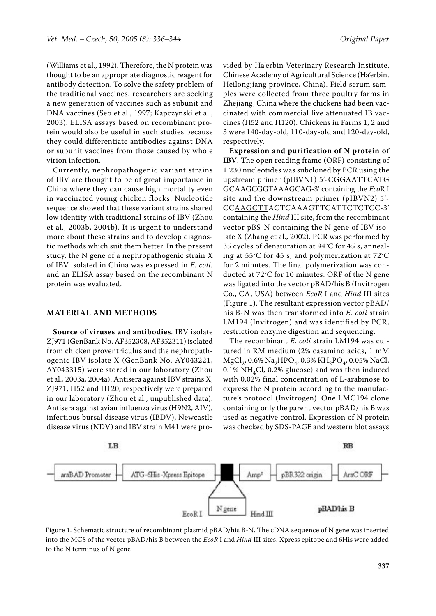(Williams et al., 1992). Therefore, the N protein was thought to be an appropriate diagnostic reagent for antibody detection. To solve the safety problem of the traditional vaccines, researchers are seeking a new generation of vaccines such as subunit and DNA vaccines (Seo et al., 1997; Kapczynski et al., 2003). ELISA assays based on recombinant protein would also be useful in such studies because they could differentiate antibodies against DNA or subunit vaccines from those caused by whole virion infection.

Currently, nephropathogenic variant strains of IBV are thought to be of great importance in China where they can cause high mortality even in vaccinated young chicken flocks. Nucleotide sequence showed that these variant strains shared low identity with traditional strains of IBV (Zhou et al., 2003b, 2004b). It is urgent to understand more about these strains and to develop diagnostic methods which suit them better. In the present study, the N gene of a nephropathogenic strain X of IBV isolated in China was expressed in *E. coli.* and an ELISA assay based on the recombinant N protein was evaluated.

#### **MATERIAL AND METHODS**

**Source of viruses and antibodies**. IBV isolate ZJ971 (GenBank No. AF352308, AF352311) isolated from chicken proventriculus and the nephropathogenic IBV isolate X (GenBank No. AY043221, AY043315) were stored in our laboratory (Zhou et al., 2003a, 2004a). Antisera against IBV strains X, ZJ971, H52 and H120, respectively were prepared in our laboratory (Zhou et al., unpublished data). Antisera against avian influenza virus (H9N2, AIV), infectious bursal disease virus (IBDV), Newcastle disease virus (NDV) and IBV strain M41 were provided by Ha'erbin Veterinary Research Institute, Chinese Academy of Agricultural Science (Ha'erbin, Heilongjiang province, China). Field serum samples were collected from three poultry farms in Zhejiang, China where the chickens had been vaccinated with commercial live attenuated IB vaccines (H52 and H120). Chickens in Farms 1, 2 and 3 were 140-day-old, 110-day-old and 120-day-old, respectively.

**Expression and purification of N protein of IBV**. The open reading frame (ORF) consisting of 1 230 nucleotides was subcloned by PCR using the upstream primer (pIBVN1) 5'-CGGAATTCATG GCAAGCGGTAAAGCAG-3' containing the *Eco*R I site and the downstream primer (pIBVN2) 5'- CCAAGCTTACTCAAAGTTCATTCTCTCC-3' containing the *Hind* III site, from the recombinant vector pBS-N containing the N gene of IBV isolate X (Zhang et al., 2002). PCR was performed by 35 cycles of denaturation at 94°C for 45 s, annealing at 55°C for 45 s, and polymerization at 72°C for 2 minutes. The final polymerization was conducted at 72°C for 10 minutes. ORF of the N gene was ligated into the vector pBAD/his B (Invitrogen Co., CA, USA) between *EcoR* I and *Hind* III sites (Figure 1). The resultant expression vector pBAD/ his B-N was then transformed into *E. coli* strain LM194 (Invitrogen) and was identified by PCR, restriction enzyme digestion and sequencing.

The recombinant *E. coli* strain LM194 was cultured in RM medium (2% casamino acids, 1 mM MgCl<sub>2</sub>, 0.6% Na<sub>2</sub>HPO<sub>4</sub>, 0.3% KH<sub>2</sub>PO<sub>4</sub>, 0.05% NaCl, 0.1% NH<sub>4</sub>Cl, 0.2% glucose) and was then induced with 0.02% final concentration of L-arabinose to express the N protein according to the manufacture's protocol (Invitrogen). One LMG194 clone containing only the parent vector pBAD/his B was used as negative control. Expression of N protein was checked by SDS-PAGE and western blot assays



Figure 1. Schematic structure of recombinant plasmid pBAD/his B-N. The cDNA sequence of N gene was inserted into the MCS of the vector pBAD/his B between the *EcoR* I and *Hind* III sites. Xpress epitope and 6His were added to the N terminus of N gene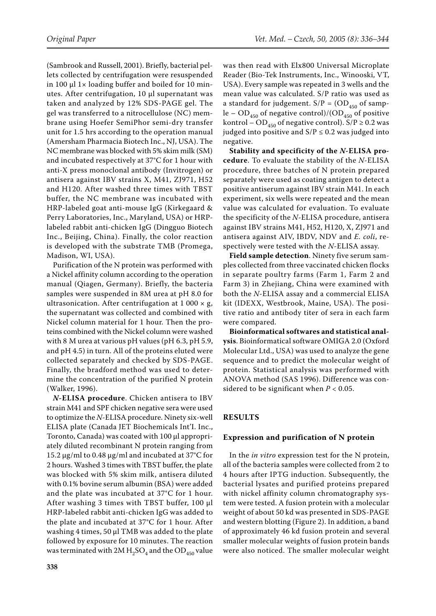(Sambrook and Russell, 2001). Briefly, bacterial pellets collected by centrifugation were resuspended in 100  $\mu$ l 1× loading buffer and boiled for 10 minutes. After centrifugation, 10 µl supernatant was taken and analyzed by 12% SDS-PAGE gel. The gel was transferred to a nitrocellulose (NC) membrane using Hoefer SemiPhor semi-dry transfer unit for 1.5 hrs according to the operation manual (Amersham Pharmacia Biotech Inc., NJ, USA). The NC membrane was blocked with 5% skim milk (SM) and incubated respectively at 37°C for 1 hour with anti-X press monoclonal antibody (Invitrogen) or antisera against IBV strains X, M41, ZJ971, H52 and H120. After washed three times with TBST buffer, the NC membrane was incubated with HRP-labeled goat anti-mouse IgG (Kirkegaard & Perry Laboratories, Inc., Maryland, USA) or HRPlabeled rabbit anti-chicken IgG (Dingguo Biotech Inc., Beijing, China). Finally, the color reaction is developed with the substrate TMB (Promega, Madison, WI, USA).

Purification of the N protein was performed with a Nickel affinity column according to the operation manual (Qiagen, Germany). Briefly, the bacteria samples were suspended in 8M urea at pH 8.0 for ultrasonication. After centrifugation at  $1\,000 \times g$ , the supernatant was collected and combined with Nickel column material for 1 hour. Then the proteins combined with the Nickel column were washed with 8 M urea at various pH values (pH 6.3, pH 5.9, and pH 4.5) in turn. All of the proteins eluted were collected separately and checked by SDS-PAGE. Finally, the bradford method was used to determine the concentration of the purified N protein (Walker, 1996).

*N***-ELISA procedure**. Chicken antisera to IBV strain M41 and SPF chicken negative sera were used to optimize the *N*-ELISA procedure. Ninety six-well ELISA plate (Canada JET Biochemicals Int'I. Inc., Toronto, Canada) was coated with 100 µl appropriately diluted recombinant N protein ranging from 15.2 µg/ml to 0.48 µg/ml and incubated at 37°C for 2 hours. Washed 3 times with TBST buffer, the plate was blocked with 5% skim milk, antisera diluted with 0.1% bovine serum albumin (BSA) were added and the plate was incubated at 37°C for 1 hour. After washing 3 times with TBST buffer, 100 µl HRP-labeled rabbit anti-chicken IgG was added to the plate and incubated at 37°C for 1 hour. After washing 4 times, 50 µl TMB was added to the plate followed by exposure for 10 minutes. The reaction was terminated with 2M  $H_2SO_4$  and the OD<sub>450</sub> value was then read with Elx800 Universal Microplate Reader (Bio-Tek Instruments, Inc., Winooski, VT, USA). Every sample was repeated in 3 wells and the mean value was calculated. S/P ratio was used as a standard for judgement.  $S/P = (OD_{450}$  of sample – OD<sub>450</sub> of negative control)/(OD<sub>450</sub> of positive kontrol – OD<sub>450</sub> of negative control). S/P  $\geq$  0.2 was judged into positive and  $S/P \le 0.2$  was judged into negative.

**Stability and specificity of the** *N***-ELISA procedure**. To evaluate the stability of the *N*-ELISA procedure, three batches of N protein prepared separately were used as coating antigen to detect a positive antiserum against IBV strain M41. In each experiment, six wells were repeated and the mean value was calculated for evaluation. To evaluate the specificity of the *N*-ELISA procedure, antisera against IBV strains M41, H52, H120, X, ZJ971 and antisera against AIV, IBDV, NDV and *E. coli*, respectively were tested with the *N*-ELISA assay.

**Field sample detection**. Ninety five serum samples collected from three vaccinated chicken flocks in separate poultry farms (Farm 1, Farm 2 and Farm 3) in Zhejiang, China were examined with both the *N*-ELISA assay and a commercial ELISA kit (IDEXX, Westbrook, Maine, USA). The positive ratio and antibody titer of sera in each farm were compared.

**Bioinformatical softwares and statistical analysis**. Bioinformatical software OMIGA 2.0 (Oxford Molecular Ltd., USA) was used to analyze the gene sequence and to predict the molecular weight of protein. Statistical analysis was performed with ANOVA method (SAS 1996). Difference was considered to be significant when *P* < 0.05.

# **RESULTS**

## **Expression and purification of N protein**

In the *in vitro* expression test for the N protein, all of the bacteria samples were collected from 2 to 4 hours after IPTG induction. Subsequently, the bacterial lysates and purified proteins prepared with nickel affinity column chromatography system were tested. A fusion protein with a molecular weight of about 50 kd was presented in SDS-PAGE and western blotting (Figure 2). In addition, a band of approximately 46 kd fusion protein and several smaller molecular weights of fusion protein bands were also noticed. The smaller molecular weight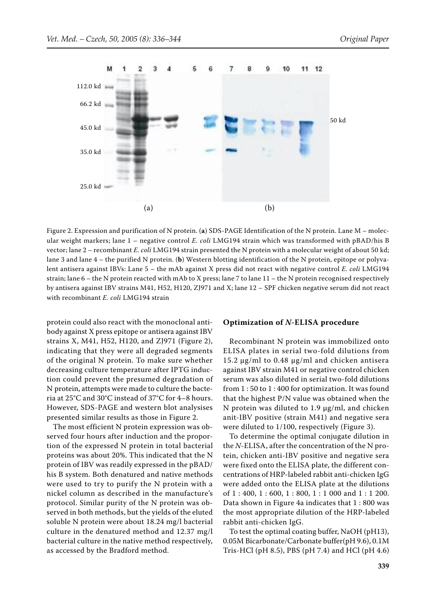

Figure 2. Expression and purification of N protein. (**a**) SDS-PAGE Identification of the N protein. Lane M – molecular weight markers; lane 1 – negative control *E. coli* LMG194 strain which was transformed with pBAD/his B vector; lane 2 – recombinant *E. coli* LMG194 strain presented the N protein with a molecular weight of about 50 kd; lane 3 and lane 4 – the purified N protein. (**b**) Western blotting identification of the N protein, epitope or polyvalent antisera against IBVs: Lane 5 – the mAb against X press did not react with negative control *E. coli* LMG194 strain; lane 6 – the N protein reacted with mAb to X press; lane 7 to lane 11 – the N protein recognised respectively by antisera against IBV strains M41, H52, H120, ZJ971 and X; lane 12 – SPF chicken negative serum did not react with recombinant *E. coli* LMG194 strain

protein could also react with the monoclonal antibody against X press epitope or antisera against IBV strains X, M41, H52, H120, and ZJ971 (Figure 2), indicating that they were all degraded segments of the original N protein. To make sure whether decreasing culture temperature after IPTG induction could prevent the presumed degradation of N protein, attempts were made to culture the bacteria at 25°C and 30°C instead of 37°C for 4–8 hours. However, SDS-PAGE and western blot analysises presented similar results as those in Figure 2.

The most efficient N protein expression was observed four hours after induction and the proportion of the expressed N protein in total bacterial proteins was about 20%. This indicated that the N protein of IBV was readily expressed in the pBAD/ his B system. Both denatured and native methods were used to try to purify the N protein with a nickel column as described in the manufacture's protocol. Similar purity of the N protein was observed in both methods, but the yields of the eluted soluble N protein were about 18.24 mg/l bacterial culture in the denatured method and 12.37 mg/l bacterial culture in the native method respectively, as accessed by the Bradford method.

#### **Optimization of** *N***-ELISA procedure**

Recombinant N protein was immobilized onto ELISA plates in serial two-fold dilutions from 15.2 µg/ml to 0.48 µg/ml and chicken antisera against IBV strain M41 or negative control chicken serum was also diluted in serial two-fold dilutions from 1 : 50 to 1 : 400 for optimization. It was found that the highest P/N value was obtained when the N protein was diluted to 1.9 µg/ml, and chicken anit-IBV positive (strain M41) and negative sera were diluted to 1/100, respectively (Figure 3).

To determine the optimal conjugate dilution in the *N*-ELISA, after the concentration of the N protein, chicken anti-IBV positive and negative sera were fixed onto the ELISA plate, the different concentrations of HRP-labeled rabbit anti-chicken IgG were added onto the ELISA plate at the dilutions of 1 : 400, 1 : 600, 1 : 800, 1 : 1 000 and 1 : 1 200. Data shown in Figure 4a indicates that 1 : 800 was the most appropriate dilution of the HRP-labeled rabbit anti-chicken IgG.

To test the optimal coating buffer, NaOH (pH13), 0.05M Bicarbonate/Carbonate buffer(pH 9.6), 0.1M Tris-HCl (pH 8.5), PBS (pH 7.4) and HCl (pH 4.6)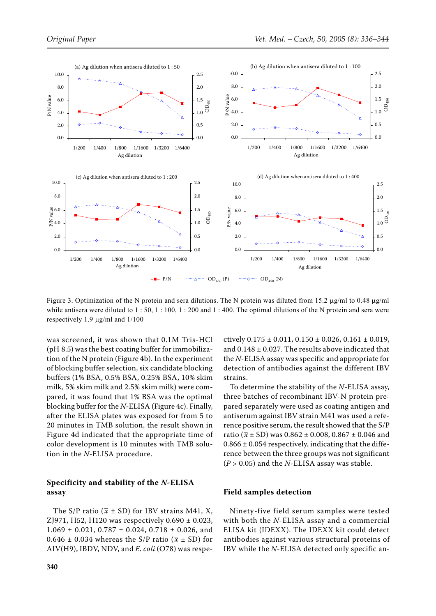

Figure 3. Optimization of the N protein and sera dilutions. The N protein was diluted from 15.2  $\mu$ g/ml to 0.48  $\mu$ g/ml while antisera were diluted to  $1: 50, 1: 100, 1: 200$  and  $1: 400$ . The optimal dilutions of the N protein and sera were respectively 1.9 µg/ml and 1/100

was screened, it was shown that 0.1M Tris-HCl (pH 8.5) was the best coating buffer for immobilization of the N protein (Figure 4b). In the experiment of blocking buffer selection, six candidate blocking buffers (1% BSA, 0.5% BSA, 0.25% BSA, 10% skim milk, 5% skim milk and 2.5% skim milk) were compared, it was found that 1% BSA was the optimal blocking buffer for the *N*-ELISA (Figure 4c). Finally, after the ELISA plates was exposed for from 5 to 20 minutes in TMB solution, the result shown in Figure 4d indicated that the appropriate time of color development is 10 minutes with TMB solution in the *N*-ELISA procedure.

# **Specificity and stability of the** *N***-ELISA assay**

The S/P ratio ( $\bar{x}$  ± SD) for IBV strains M41, X, ZJ971, H52, H120 was respectively 0.690 ± 0.023,  $1.069 \pm 0.021, 0.787 \pm 0.024, 0.718 \pm 0.026,$  and 0.646  $\pm$  0.034 whereas the S/P ratio ( $\bar{x}$   $\pm$  SD) for AIV(H9), IBDV, NDV, and *E. coli* (O78) was respectively  $0.175 \pm 0.011$ ,  $0.150 \pm 0.026$ ,  $0.161 \pm 0.019$ , and  $0.148 \pm 0.027$ . The results above indicated that the *N*-ELISA assay was specific and appropriate for detection of antibodies against the different IBV strains.

To determine the stability of the *N*-ELISA assay, three batches of recombinant IBV-N protein prepared separately were used as coating antigen and antiserum against IBV strain M41 was used a reference positive serum, the result showed that the S/P ratio ( $\bar{x}$  ± SD) was 0.862 ± 0.008, 0.867 ± 0.046 and  $0.866 \pm 0.054$  respectively, indicating that the difference between the three groups was not significant (*P* > 0.05) and the *N*-ELISA assay was stable.

# **Field samples detection**

Ninety-five field serum samples were tested with both the *N*-ELISA assay and a commercial ELISA kit (IDEXX). The IDEXX kit could detect antibodies against various structural proteins of IBV while the *N*-ELISA detected only specific an-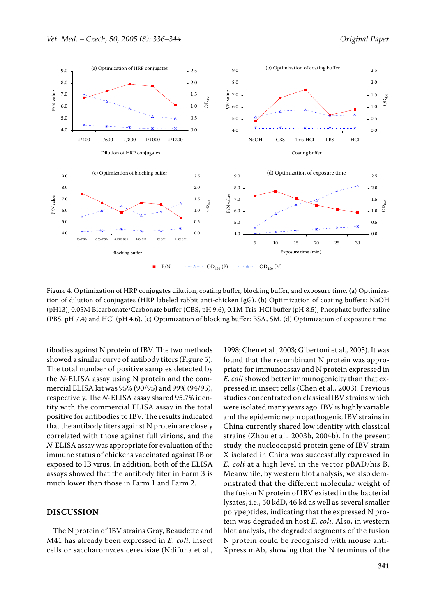

Figure 4. Optimization of HRP conjugates dilution, coating buffer, blocking buffer, and exposure time. (a) Optimization of dilution of conjugates (HRP labeled rabbit anti-chicken IgG). (b) Optimization of coating buffers: NaOH (pH13), 0.05M Bicarbonate/Carbonate buffer (CBS, pH 9.6), 0.1M Tris-HCl buffer (pH 8.5), Phosphate buffer saline (PBS, pH 7.4) and HCl (pH 4.6). (c) Optimization of blocking buffer: BSA, SM. (d) Optimization of exposure time

tibodies against N protein of IBV. The two methods showed a similar curve of antibody titers (Figure 5). The total number of positive samples detected by the *N*-ELISA assay using N protein and the commercial ELISA kit was 95% (90/95) and 99% (94/95), respectively. The *N*-ELISA assay shared 95.7% identity with the commercial ELISA assay in the total positive for antibodies to IBV. The results indicated that the antibody titers against N protein are closely correlated with those against full virions, and the *N*-ELISA assay was appropriate for evaluation of the immune status of chickens vaccinated against IB or exposed to IB virus. In addition, both of the ELISA assays showed that the antibody titer in Farm 3 is much lower than those in Farm 1 and Farm 2.

## **DISCUSSION**

The N protein of IBV strains Gray, Beaudette and M41 has already been expressed in *E. coli*, insect cells or saccharomyces cerevisiae (Ndifuna et al., 1998; Chen et al., 2003; Gibertoni et al., 2005). It was found that the recombinant N protein was appropriate for immunoassay and N protein expressed in *E. coli* showed better immunogenicity than that expressed in insect cells (Chen et al., 2003). Previous studies concentrated on classical IBV strains which were isolated many years ago. IBV is highly variable and the epidemic nephropathogenic IBV strains in China currently shared low identity with classical strains (Zhou et al., 2003b, 2004b). In the present study, the nucleocapsid protein gene of IBV strain X isolated in China was successfully expressed in *E. coli* at a high level in the vector pBAD/his B. Meanwhile, by western blot analysis, we also demonstrated that the different molecular weight of the fusion N protein of IBV existed in the bacterial lysates, i.e., 50 kdD, 46 kd as well as several smaller polypeptides, indicating that the expressed N protein was degraded in host *E. coli*. Also, in western blot analysis, the degraded segments of the fusion N protein could be recognised with mouse anti-Xpress mAb, showing that the N terminus of the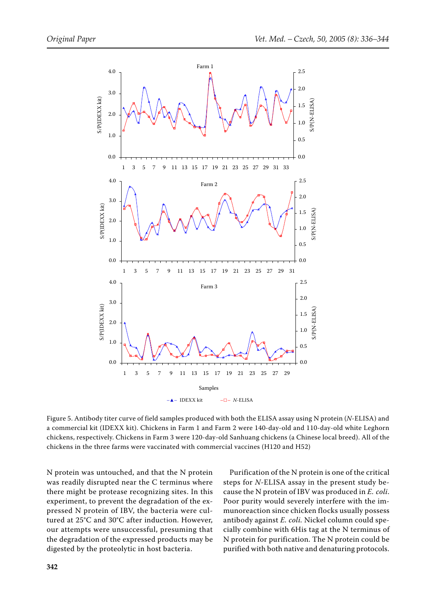

Figure 5. Antibody titer curve of field samples produced with both the ELISA assay using N protein (*N*-ELISA) and a commercial kit (IDEXX kit). Chickens in Farm 1 and Farm 2 were 140-day-old and 110-day-old white Leghorn chickens, respectively. Chickens in Farm 3 were 120-day-old Sanhuang chickens (a Chinese local breed). All of the chickens in the three farms were vaccinated with commercial vaccines (H120 and H52)

N protein was untouched, and that the N protein was readily disrupted near the C terminus where there might be protease recognizing sites. In this experiment, to prevent the degradation of the expressed N protein of IBV, the bacteria were cultured at 25°C and 30°C after induction. However, our attempts were unsuccessful, presuming that the degradation of the expressed products may be digested by the proteolytic in host bacteria.

Purification of the N protein is one of the critical steps for *N*-ELISA assay in the present study because the N protein of IBV was produced in *E. coli*. Poor purity would severely interfere with the immunoreaction since chicken flocks usually possess antibody against *E. coli.* Nickel column could specially combine with 6His tag at the N terminus of N protein for purification. The N protein could be purified with both native and denaturing protocols.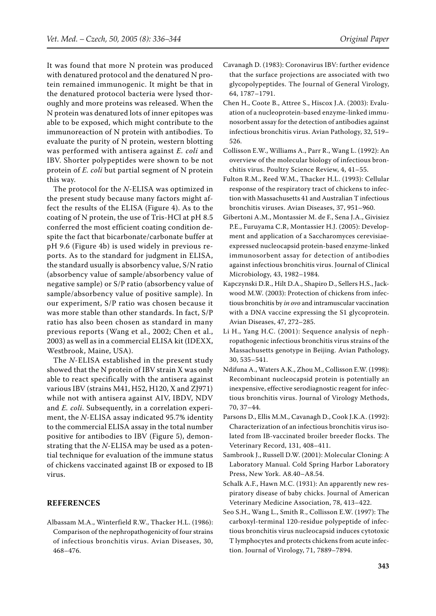It was found that more N protein was produced with denatured protocol and the denatured N protein remained immunogenic. It might be that in the denatured protocol bacteria were lysed thoroughly and more proteins was released. When the N protein was denatured lots of inner epitopes was able to be exposed, which might contribute to the immunoreaction of N protein with antibodies. To evaluate the purity of N protein, western blotting was performed with antisera against *E. coli* and IBV. Shorter polypeptides were shown to be not protein of *E. coli* but partial segment of N protein this way.

The protocol for the *N*-ELISA was optimized in the present study because many factors might affect the results of the ELISA (Figure 4). As to the coating of N protein, the use of Tris-HCl at pH 8.5 conferred the most efficient coating condition despite the fact that bicarbonate/carbonate buffer at pH 9.6 (Figure 4b) is used widely in previous reports. As to the standard for judgment in ELISA, the standard usually is absorbency value, S/N ratio (absorbency value of sample/absorbency value of negative sample) or S/P ratio (absorbency value of sample/absorbency value of positive sample). In our experiment, S/P ratio was chosen because it was more stable than other standards. In fact, S/P ratio has also been chosen as standard in many previous reports (Wang et al., 2002; Chen et al., 2003) as well as in a commercial ELISA kit (IDEXX, Westbrook, Maine, USA).

The *N*-ELISA established in the present study showed that the N protein of IBV strain X was only able to react specifically with the antisera against various IBV (strains M41, H52, H120, X and ZJ971) while not with antisera against AIV, IBDV, NDV and *E. coli*. Subsequently, in a correlation experiment, the *N*-ELISA assay indicated 95.7% identity to the commercial ELISA assay in the total number positive for antibodies to IBV (Figure 5), demonstrating that the *N*-ELISA may be used as a potential technique for evaluation of the immune status of chickens vaccinated against IB or exposed to IB virus.

## **REFERENCES**

Albassam M.A., Winterfield R.W., Thacker H.L. (1986): Comparison of the nephropathogenicity of four strains of infectious bronchitis virus. Avian Diseases, 30, 468–476.

- Cavanagh D. (1983): Coronavirus IBV: further evidence that the surface projections are associated with two glycopolypeptides. The Journal of General Virology, 64, 1787–1791.
- Chen H., Coote B., Attree S., Hiscox J.A. (2003): Evaluation of a nucleoprotein-based enzyme-linked immunosorbent assay for the detection of antibodies against infectious bronchitis virus. Avian Pathology, 32, 519– 526.
- Collisson E.W., Williams A., Parr R., Wang L. (1992): An overview of the molecular biology of infectious bronchitis virus. Poultry Science Review, 4, 41–55.
- Fulton R.M., Reed W.M., Thacker H.L. (1993): Cellular response of the respiratory tract of chickens to infection with Massachusetts 41 and Australian T infectious bronchitis viruses. Avian Diseases, 37, 951–960.
- Gibertoni A.M., Montassier M. de F., Sena J.A., Givisiez P.E., Furuyama C.R, Montassier H.J. (2005): Development and application of a Saccharomyces cerevisiaeexpressed nucleocapsid protein-based enzyme-linked immunosorbent assay for detection of antibodies against infectious bronchitis virus. Journal of Clinical Microbiology, 43, 1982–1984.
- Kapczynski D.R., Hilt D.A., Shapiro D., Sellers H.S., Jackwood M.W. (2003): Protection of chickens from infectious bronchitis by *in ovo* and intramuscular vaccination with a DNA vaccine expressing the S1 glycoprotein. Avian Diseases, 47, 272–285.
- Li H., Yang H.C. (2001): Sequence analysis of nephropathogenic infectious bronchitis virus strains of the Massachusetts genotype in Beijing. Avian Pathology, 30, 535–541.
- Ndifuna A., Waters A.K., Zhou M., Collisson E.W. (1998): Recombinant nucleocapsid protein is potentially an inexpensive, effective serodiagnostic reagent for infectious bronchitis virus. Journal of Virology Methods, 70, 37–44.
- Parsons D., Ellis M.M., Cavanagh D., Cook J.K.A. (1992): Characterization of an infectious bronchitis virus isolated from IB-vaccinated broiler breeder flocks. The Veterinary Record, 131, 408–411.
- Sambrook J., Russell D.W. (2001): Molecular Cloning: A Laboratory Manual. Cold Spring Harbor Laboratory Press, New York. A8.40–A8.54.
- Schalk A.F., Hawn M.C. (1931): An apparently new respiratory disease of baby chicks. Journal of American Veterinary Medicine Association, 78, 413–422.
- Seo S.H., Wang L., Smith R., Collisson E.W. (1997): The carboxyl-terminal 120-residue polypeptide of infectious bronchitis virus nucleocapsid induces cytotoxic T lymphocytes and protects chickens from acute infection. Journal of Virology, 71, 7889–7894.